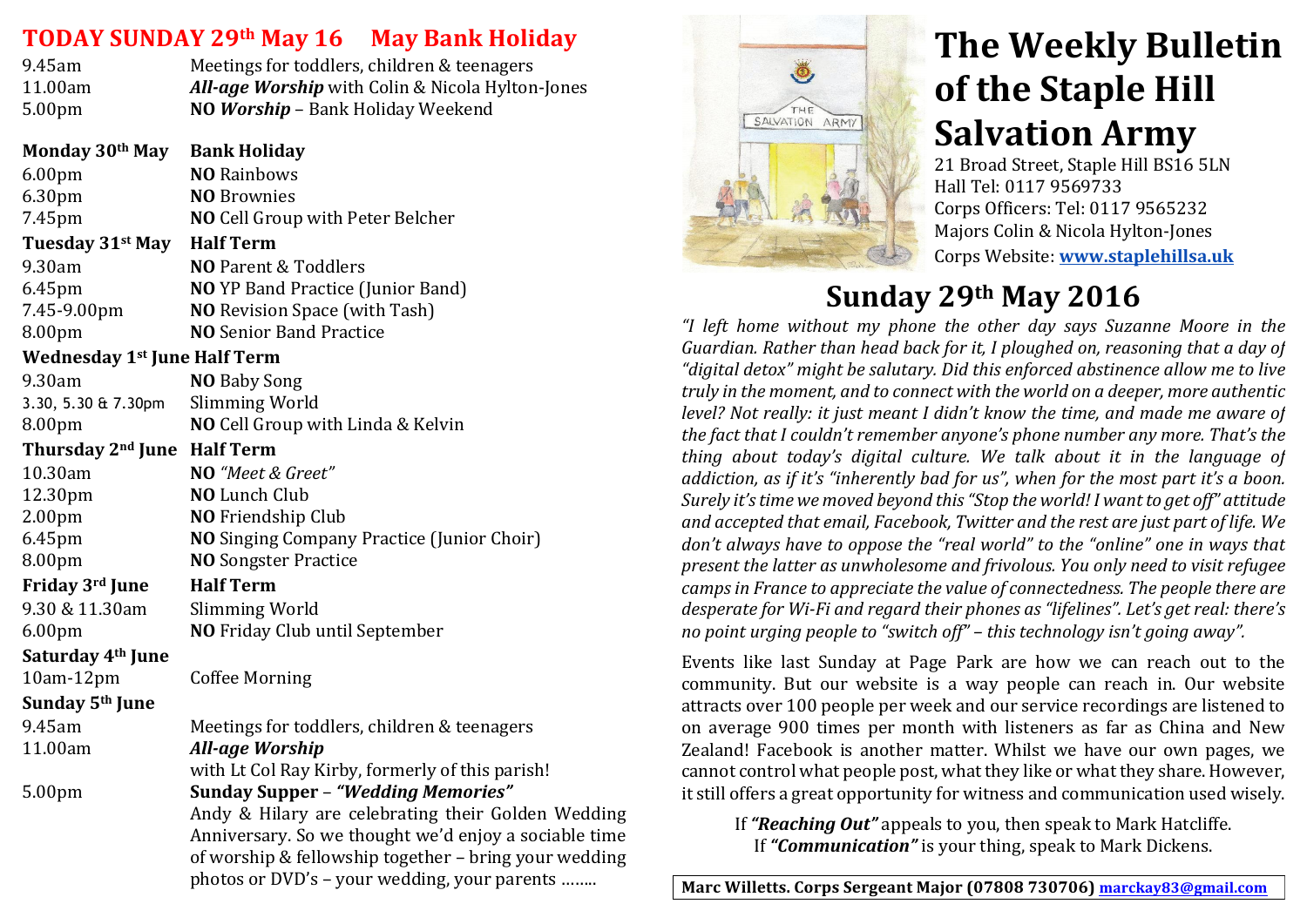## **TODAY SUNDAY 29th May 16 May Bank Holiday**

| 9.45am             | Meetings for toddlers, children & teenagers             |
|--------------------|---------------------------------------------------------|
| 11.00am            | <b>All-age Worship</b> with Colin & Nicola Hylton-Jones |
| 5.00 <sub>pm</sub> | NO Worship - Bank Holiday Weekend                       |

**Monday&30th May Bank&Holiday** 6.00pm **NO&**Rainbows 6.30pm **NO** Brownies 7.45pm **NO** Cell Group with Peter Belcher **Tuesday&31st May Half&Term** 9.30am **NO** Parent & Toddlers 6.45pm **NO** YP'Band'Practice'(Junior'Band) 7.45-9.00pm **NO** Revision Space (with Tash) 8.00pm **NO** Senior Band Practice **Wednesday 1st June Half Term** 9.30am **NO** Baby'Song' 3.30, 5.30 & 7.30pm Slimming'World 8.00pm **NO** Cell Group with Linda & Kelvin **Thursday&2nd June Half&Term** 10.30am **NO** *"Meet%&%Greet"* 12.30pm **NO** Lunch'Club 2.00pm **NO** Friendship Club 6.45pm **NO&**Singing'Company'Practice'(Junior'Choir) 8.00pm **NO** Songster Practice **Friday 3rd June Half Term** 9.30 & 11.30am Slimming World 6.00pm **NO** Friday'Club until'September **Saturday&4th June** 10am-12pm Coffee Morning **Sunday&5th June** 9.45am Meetings for toddlers, children & teenagers 11.00am *All-age Worship* with Lt Col Ray Kirby, formerly of this parish! 5.00pm **Sunday&Supper** – *"Wedding'Memories"* Andy & Hilary are celebrating their Golden Wedding Anniversary. So we thought we'd enjoy a sociable time of worship & fellowship together – bring your wedding photos or DVD's – your wedding, your parents ……..



# **The Weekly Bulletin of the Staple Hill Salvation Army**

21 Broad Street, Staple Hill BS16 5LN Hall Tel: 0117 9569733 Corps Officers: Tel: 0117 9565232 Majors Colin & Nicola Hylton-Jones ''''' Corps'Website: **www.staplehillsa.uk**

# **Sunday&29th May 2016**

*"I% left% home% without% my% phone% the% other% day% says% Suzanne% Moore in% the% Guardian.%Rather%than%head%back%for%it,%I%ploughed%on,%reasoning%that%a%day%of%* "digital detox" might be salutary. Did this enforced abstinence allow me to live *truly in the moment, and to connect with the world on a deeper, more authentic level? Not really: it just meant I didn't know the time, and made me aware of the fact that I couldn't remember anyone's phone number any more. That's the thing about today's digital culture. We talk about it in the language of addiction, as if it's "inherently bad for us", when for the most part it's a boon. Surely it's time we moved beyond this "Stop the world! I want to get off" attitude* and accepted that email, Facebook, Twitter and the rest are just part of life. We don't always have to oppose the "real world" to the "online" one in ways that *present the latter as unwholesome and frivolous. You only need to visit refugee camps in France to appreciate the value of connectedness. The people there are desperate for Wi-Fi and regard their phones as "lifelines". Let's get real: there's no point urging people to "switch off" – this technology isn't going away".* 

Events like last Sunday at Page Park are how we can reach out to the community. But our website is a way people can reach in. Our website attracts over 100 people per week and our service recordings are listened to on' average' 900' times' per' month' with' listeners' as' far' as' China' and' New' Zealand! Facebook is another matter. Whilst we have our own pages, we' cannot control what people post, what they like or what they share. However, it still offers a great opportunity for witness and communication used wisely.

If **"Reaching Out"** appeals to you, then speak to Mark Hatcliffe. If "**Communication**" is your thing, speak to Mark Dickens.

Marc Willetts. Corps Sergeant Major (07808 730706) marckay83@gmail.com